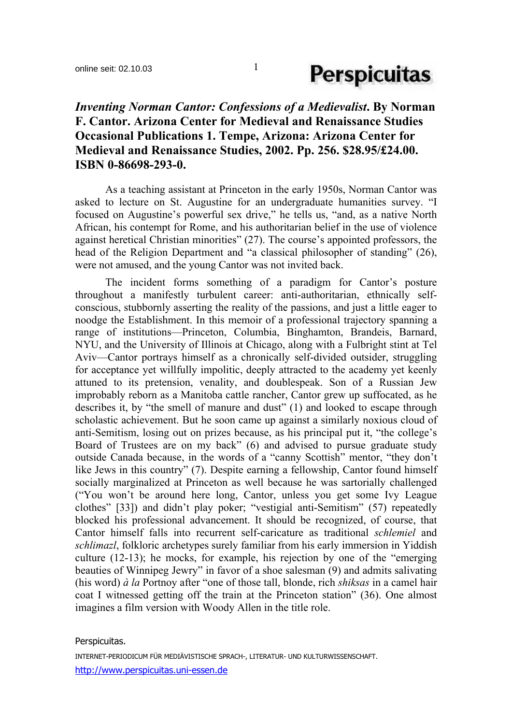### *Inventing Norman Cantor: Confessions of a Medievalist***. By Norman F. Cantor. Arizona Center for Medieval and Renaissance Studies Occasional Publications 1. Tempe, Arizona: Arizona Center for Medieval and Renaissance Studies, 2002. Pp. 256. \$28.95/£24.00. ISBN 0-86698-293-0.**

 As a teaching assistant at Princeton in the early 1950s, Norman Cantor was asked to lecture on St. Augustine for an undergraduate humanities survey. "I focused on Augustine's powerful sex drive," he tells us, "and, as a native North African, his contempt for Rome, and his authoritarian belief in the use of violence against heretical Christian minorities" (27). The course's appointed professors, the head of the Religion Department and "a classical philosopher of standing" (26), were not amused, and the young Cantor was not invited back.

 The incident forms something of a paradigm for Cantor's posture throughout a manifestly turbulent career: anti-authoritarian, ethnically selfconscious, stubbornly asserting the reality of the passions, and just a little eager to noodge the Establishment. In this memoir of a professional trajectory spanning a range of institutions—Princeton, Columbia, Binghamton, Brandeis, Barnard, NYU, and the University of Illinois at Chicago, along with a Fulbright stint at Tel Aviv—Cantor portrays himself as a chronically self-divided outsider, struggling for acceptance yet willfully impolitic, deeply attracted to the academy yet keenly attuned to its pretension, venality, and doublespeak. Son of a Russian Jew improbably reborn as a Manitoba cattle rancher, Cantor grew up suffocated, as he describes it, by "the smell of manure and dust" (1) and looked to escape through scholastic achievement. But he soon came up against a similarly noxious cloud of anti-Semitism, losing out on prizes because, as his principal put it, "the college's Board of Trustees are on my back" (6) and advised to pursue graduate study outside Canada because, in the words of a "canny Scottish" mentor, "they don't like Jews in this country" (7). Despite earning a fellowship, Cantor found himself socially marginalized at Princeton as well because he was sartorially challenged ("You won't be around here long, Cantor, unless you get some Ivy League clothes" [33]) and didn't play poker; "vestigial anti-Semitism" (57) repeatedly blocked his professional advancement. It should be recognized, of course, that Cantor himself falls into recurrent self-caricature as traditional *schlemiel* and *schlimazl*, folkloric archetypes surely familiar from his early immersion in Yiddish culture (12-13); he mocks, for example, his rejection by one of the "emerging beauties of Winnipeg Jewry" in favor of a shoe salesman (9) and admits salivating (his word) *à la* Portnoy after "one of those tall, blonde, rich *shiksas* in a camel hair coat I witnessed getting off the train at the Princeton station" (36). One almost imagines a film version with Woody Allen in the title role.

### Perspicuitas.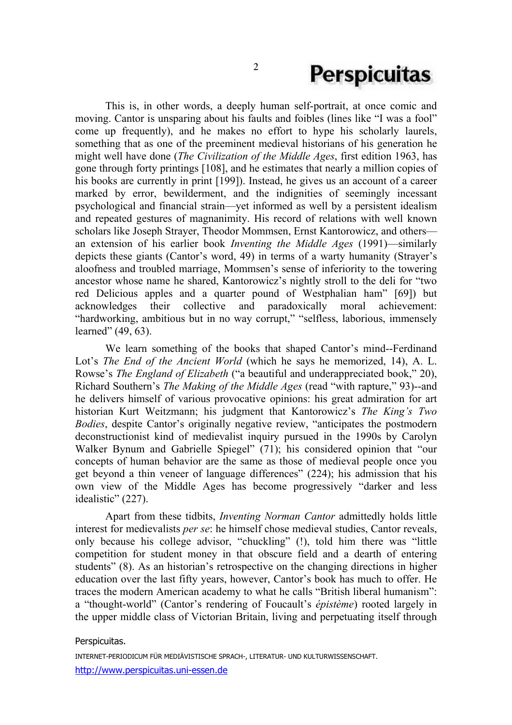### **Perspicuitas**

 This is, in other words, a deeply human self-portrait, at once comic and moving. Cantor is unsparing about his faults and foibles (lines like "I was a fool" come up frequently), and he makes no effort to hype his scholarly laurels, something that as one of the preeminent medieval historians of his generation he might well have done (*The Civilization of the Middle Ages*, first edition 1963, has gone through forty printings [108], and he estimates that nearly a million copies of his books are currently in print [199]). Instead, he gives us an account of a career marked by error, bewilderment, and the indignities of seemingly incessant psychological and financial strain—yet informed as well by a persistent idealism and repeated gestures of magnanimity. His record of relations with well known scholars like Joseph Strayer, Theodor Mommsen, Ernst Kantorowicz, and others an extension of his earlier book *Inventing the Middle Ages* (1991)—similarly depicts these giants (Cantor's word, 49) in terms of a warty humanity (Strayer's aloofness and troubled marriage, Mommsen's sense of inferiority to the towering ancestor whose name he shared, Kantorowicz's nightly stroll to the deli for "two red Delicious apples and a quarter pound of Westphalian ham" [69]) but acknowledges their collective and paradoxically moral achievement: "hardworking, ambitious but in no way corrupt," "selfless, laborious, immensely learned" (49, 63).

 We learn something of the books that shaped Cantor's mind--Ferdinand Lot's *The End of the Ancient World* (which he says he memorized, 14), A. L. Rowse's *The England of Elizabeth* ("a beautiful and underappreciated book," 20), Richard Southern's *The Making of the Middle Ages* (read "with rapture," 93)--and he delivers himself of various provocative opinions: his great admiration for art historian Kurt Weitzmann; his judgment that Kantorowicz's *The King's Two Bodies*, despite Cantor's originally negative review, "anticipates the postmodern deconstructionist kind of medievalist inquiry pursued in the 1990s by Carolyn Walker Bynum and Gabrielle Spiegel" (71); his considered opinion that "our concepts of human behavior are the same as those of medieval people once you get beyond a thin veneer of language differences" (224); his admission that his own view of the Middle Ages has become progressively "darker and less idealistic" (227).

Apart from these tidbits, *Inventing Norman Cantor* admittedly holds little interest for medievalists *per se*: he himself chose medieval studies, Cantor reveals, only because his college advisor, "chuckling" (!), told him there was "little competition for student money in that obscure field and a dearth of entering students" (8). As an historian's retrospective on the changing directions in higher education over the last fifty years, however, Cantor's book has much to offer. He traces the modern American academy to what he calls "British liberal humanism": a "thought-world" (Cantor's rendering of Foucault's *épistème*) rooted largely in the upper middle class of Victorian Britain, living and perpetuating itself through

#### Perspicuitas.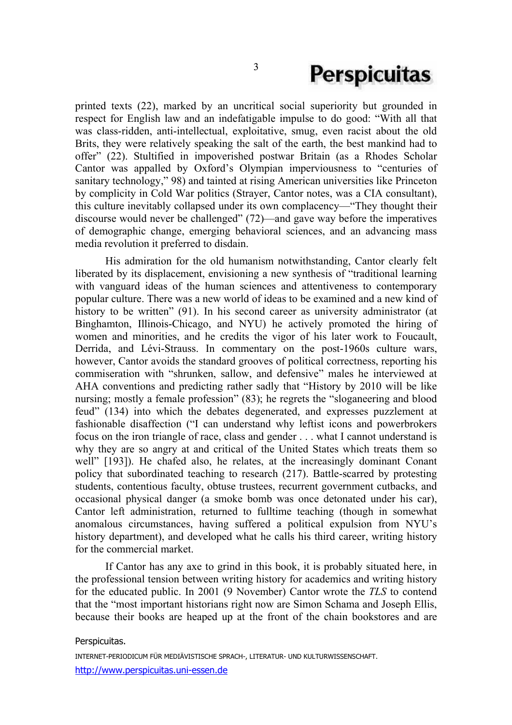# **Perspicuitas**

printed texts (22), marked by an uncritical social superiority but grounded in respect for English law and an indefatigable impulse to do good: "With all that was class-ridden, anti-intellectual, exploitative, smug, even racist about the old Brits, they were relatively speaking the salt of the earth, the best mankind had to offer" (22). Stultified in impoverished postwar Britain (as a Rhodes Scholar Cantor was appalled by Oxford's Olympian imperviousness to "centuries of sanitary technology," 98) and tainted at rising American universities like Princeton by complicity in Cold War politics (Strayer, Cantor notes, was a CIA consultant), this culture inevitably collapsed under its own complacency—"They thought their discourse would never be challenged" (72)—and gave way before the imperatives of demographic change, emerging behavioral sciences, and an advancing mass media revolution it preferred to disdain.

 His admiration for the old humanism notwithstanding, Cantor clearly felt liberated by its displacement, envisioning a new synthesis of "traditional learning with vanguard ideas of the human sciences and attentiveness to contemporary popular culture. There was a new world of ideas to be examined and a new kind of history to be written" (91). In his second career as university administrator (at Binghamton, Illinois-Chicago, and NYU) he actively promoted the hiring of women and minorities, and he credits the vigor of his later work to Foucault, Derrida, and Lévi-Strauss. In commentary on the post-1960s culture wars, however, Cantor avoids the standard grooves of political correctness, reporting his commiseration with "shrunken, sallow, and defensive" males he interviewed at AHA conventions and predicting rather sadly that "History by 2010 will be like nursing; mostly a female profession" (83); he regrets the "sloganeering and blood feud" (134) into which the debates degenerated, and expresses puzzlement at fashionable disaffection ("I can understand why leftist icons and powerbrokers focus on the iron triangle of race, class and gender . . . what I cannot understand is why they are so angry at and critical of the United States which treats them so well" [193]). He chafed also, he relates, at the increasingly dominant Conant policy that subordinated teaching to research (217). Battle-scarred by protesting students, contentious faculty, obtuse trustees, recurrent government cutbacks, and occasional physical danger (a smoke bomb was once detonated under his car), Cantor left administration, returned to fulltime teaching (though in somewhat anomalous circumstances, having suffered a political expulsion from NYU's history department), and developed what he calls his third career, writing history for the commercial market.

 If Cantor has any axe to grind in this book, it is probably situated here, in the professional tension between writing history for academics and writing history for the educated public. In 2001 (9 November) Cantor wrote the *TLS* to contend that the "most important historians right now are Simon Schama and Joseph Ellis, because their books are heaped up at the front of the chain bookstores and are

#### Perspicuitas.